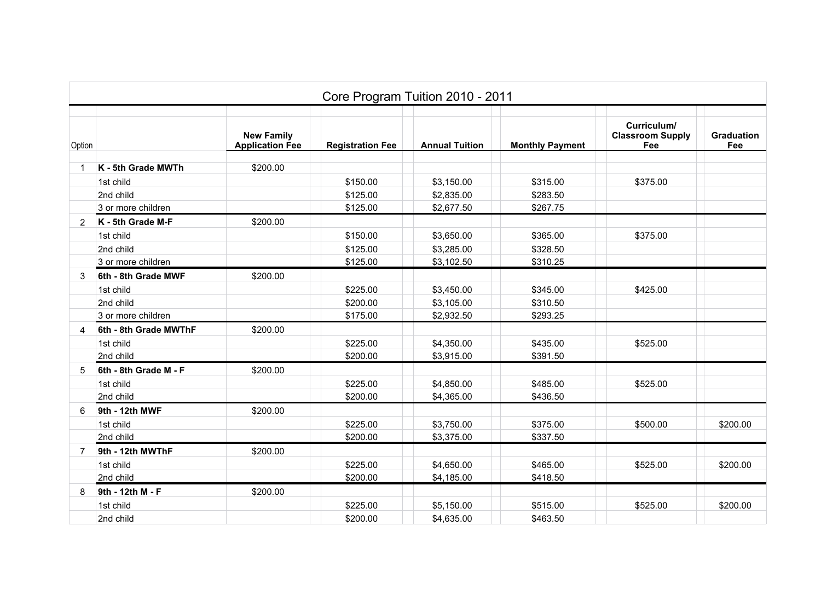| Core Program Tuition 2010 - 2011 |                       |                                             |                         |                       |                        |                                               |                          |  |  |  |  |  |
|----------------------------------|-----------------------|---------------------------------------------|-------------------------|-----------------------|------------------------|-----------------------------------------------|--------------------------|--|--|--|--|--|
| Option                           |                       | <b>New Family</b><br><b>Application Fee</b> | <b>Registration Fee</b> | <b>Annual Tuition</b> | <b>Monthly Payment</b> | Curriculum/<br><b>Classroom Supply</b><br>Fee | <b>Graduation</b><br>Fee |  |  |  |  |  |
| 1                                | K - 5th Grade MWTh    | \$200.00                                    |                         |                       |                        |                                               |                          |  |  |  |  |  |
|                                  | 1st child             |                                             | \$150.00                | \$3,150.00            | \$315.00               | \$375.00                                      |                          |  |  |  |  |  |
|                                  | 2nd child             |                                             | \$125.00                | \$2,835.00            | \$283.50               |                                               |                          |  |  |  |  |  |
|                                  | 3 or more children    |                                             | \$125.00                | \$2,677.50            | \$267.75               |                                               |                          |  |  |  |  |  |
| $\mathbf{2}$                     | K - 5th Grade M-F     | \$200.00                                    |                         |                       |                        |                                               |                          |  |  |  |  |  |
|                                  | 1st child             |                                             | \$150.00                | \$3,650.00            | \$365.00               | \$375.00                                      |                          |  |  |  |  |  |
|                                  | 2nd child             |                                             | \$125.00                | \$3,285.00            | \$328.50               |                                               |                          |  |  |  |  |  |
|                                  | 3 or more children    |                                             | \$125.00                | \$3,102.50            | \$310.25               |                                               |                          |  |  |  |  |  |
| 3                                | 6th - 8th Grade MWF   | \$200.00                                    |                         |                       |                        |                                               |                          |  |  |  |  |  |
|                                  | 1st child             |                                             | \$225.00                | \$3,450.00            | \$345.00               | \$425.00                                      |                          |  |  |  |  |  |
|                                  | 2nd child             |                                             | \$200.00                | \$3,105.00            | \$310.50               |                                               |                          |  |  |  |  |  |
|                                  | 3 or more children    |                                             | \$175.00                | \$2,932.50            | \$293.25               |                                               |                          |  |  |  |  |  |
| 4                                | 6th - 8th Grade MWThF | \$200.00                                    |                         |                       |                        |                                               |                          |  |  |  |  |  |
|                                  | 1st child             |                                             | \$225.00                | \$4,350.00            | \$435.00               | \$525.00                                      |                          |  |  |  |  |  |
|                                  | 2nd child             |                                             | \$200.00                | \$3,915.00            | \$391.50               |                                               |                          |  |  |  |  |  |
| 5                                | 6th - 8th Grade M - F | \$200.00                                    |                         |                       |                        |                                               |                          |  |  |  |  |  |
|                                  | 1st child             |                                             | \$225.00                | \$4,850.00            | \$485.00               | \$525.00                                      |                          |  |  |  |  |  |
|                                  | 2nd child             |                                             | \$200.00                | \$4,365.00            | \$436.50               |                                               |                          |  |  |  |  |  |
| 6                                | 9th - 12th MWF        | \$200.00                                    |                         |                       |                        |                                               |                          |  |  |  |  |  |
|                                  | 1st child             |                                             | \$225.00                | \$3,750.00            | \$375.00               | \$500.00                                      | \$200.00                 |  |  |  |  |  |
|                                  | 2nd child             |                                             | \$200.00                | \$3,375.00            | \$337.50               |                                               |                          |  |  |  |  |  |
| $\overline{7}$                   | 9th - 12th MWThF      | \$200.00                                    |                         |                       |                        |                                               |                          |  |  |  |  |  |
|                                  | 1st child             |                                             | \$225.00                | \$4,650.00            | \$465.00               | \$525.00                                      | \$200.00                 |  |  |  |  |  |
|                                  | 2nd child             |                                             | \$200.00                | \$4,185.00            | \$418.50               |                                               |                          |  |  |  |  |  |
| 8                                | 9th - 12th M - F      | \$200.00                                    |                         |                       |                        |                                               |                          |  |  |  |  |  |
|                                  | 1st child             |                                             | \$225.00                | \$5,150.00            | \$515.00               | \$525.00                                      | \$200.00                 |  |  |  |  |  |
|                                  | 2nd child             |                                             | \$200.00                | \$4,635.00            | \$463.50               |                                               |                          |  |  |  |  |  |